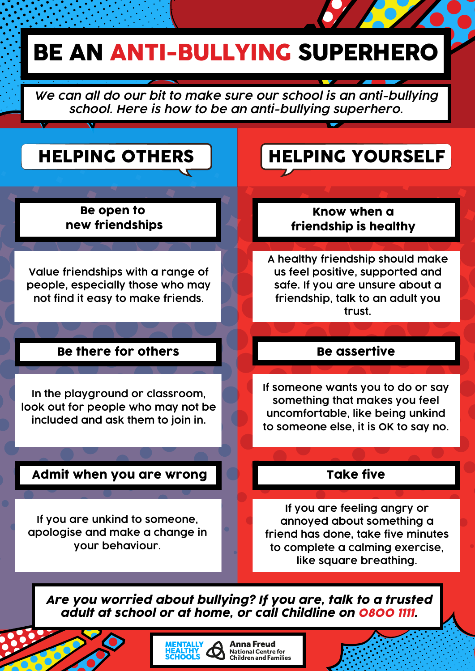# BE AN ANTI-BULLYING SUPERHERO

*We can all do our bit to make sure our school is an anti-bullying school. Here is how to be an anti-bullying superhero.*

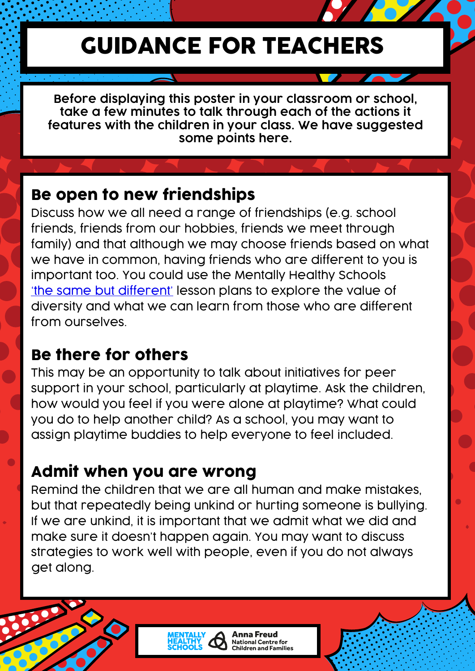## GUIDANCE FOR TEACHERS

**Before displaying this poster in your classroom or school, take a few minutes to talk through each of the actions it features with the children in your class. We have suggested some points here.**

## Be open to new friendships

Discuss how we all need a range of friendships (e.g. school friends, friends from our hobbies, friends we meet through family) and that although we may choose friends based on what we have in common, having friends who are different to you is important too. You could use the Mentally Healthy Schools 'the same but [different'](https://www.mentallyhealthyschools.org.uk/resources/celebrating-differences-world-mental-health-day-toolkit/) lesson plans to explore the value of diversity and what we can learn from those who are different from ourselves.

## Be there for others

This may be an opportunity to talk about initiatives for peer support in your school, particularly at playtime. Ask the children, how would you feel if you were alone at playtime? What could you do to help another child? As a school, you may want to assign playtime buddies to help everyone to feel included.

## Admit when you are wrong

Remind the children that we are all human and make mistakes, but that repeatedly being unkind or hurting someone is bullying. If we are unkind, it is important that we admit what we did and make sure it doesn't happen again. You may want to discuss strategies to work well with people, even if you do not always get along.